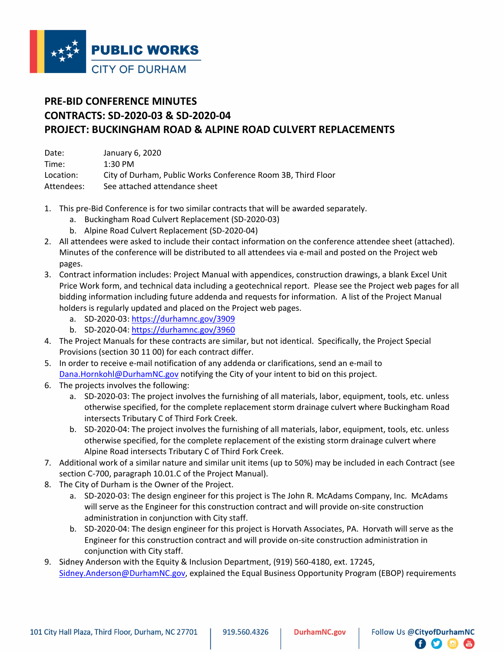

## **PRE-BID CONFERENCE MINUTES CONTRACTS: SD-2020-03 & SD-2020-04 PROJECT: BUCKINGHAM ROAD & ALPINE ROAD CULVERT REPLACEMENTS**

| Date:      | January 6, 2020                                              |
|------------|--------------------------------------------------------------|
| Time:      | $1:30$ PM                                                    |
| Location:  | City of Durham, Public Works Conference Room 3B, Third Floor |
| Attendees: | See attached attendance sheet                                |

- 1. This pre-Bid Conference is for two similar contracts that will be awarded separately.
	- a. Buckingham Road Culvert Replacement (SD-2020-03)
	- b. Alpine Road Culvert Replacement (SD-2020-04)
- 2. All attendees were asked to include their contact information on the conference attendee sheet (attached). Minutes of the conference will be distributed to all attendees via e-mail and posted on the Project web pages.
- 3. Contract information includes: Project Manual with appendices, construction drawings, a blank Excel Unit Price Work form, and technical data including a geotechnical report. Please see the Project web pages for all bidding information including future addenda and requests for information. A list of the Project Manual holders is regularly updated and placed on the Project web pages.
	- a. SD-2020-03:<https://durhamnc.gov/3909>
	- b. SD-2020-04:<https://durhamnc.gov/3960>
- 4. The Project Manuals for these contracts are similar, but not identical. Specifically, the Project Special Provisions (section 30 11 00) for each contract differ.
- 5. In order to receive e-mail notification of any addenda or clarifications, send an e-mail to [Dana.Hornkohl@DurhamNC.gov](mailto:Dana.Hornkohl@DurhamNC.gov) notifying the City of your intent to bid on this project.
- 6. The projects involves the following:
	- a. SD-2020-03: The project involves the furnishing of all materials, labor, equipment, tools, etc. unless otherwise specified, for the complete replacement storm drainage culvert where Buckingham Road intersects Tributary C of Third Fork Creek.
	- b. SD-2020-04: The project involves the furnishing of all materials, labor, equipment, tools, etc. unless otherwise specified, for the complete replacement of the existing storm drainage culvert where Alpine Road intersects Tributary C of Third Fork Creek.
- 7. Additional work of a similar nature and similar unit items (up to 50%) may be included in each Contract (see section C-700, paragraph 10.01.C of the Project Manual).
- 8. The City of Durham is the Owner of the Project.
	- a. SD-2020-03: The design engineer for this project is The John R. McAdams Company, Inc. McAdams will serve as the Engineer for this construction contract and will provide on-site construction administration in conjunction with City staff.
	- b. SD-2020-04: The design engineer for this project is Horvath Associates, PA. Horvath will serve as the Engineer for this construction contract and will provide on-site construction administration in conjunction with City staff.
- 9. Sidney Anderson with the Equity & Inclusion Department, (919) 560-4180, ext. 17245, [Sidney.Anderson@DurhamNC.gov,](mailto:Sidney.Anderson@DurhamNC.gov) explained the Equal Business Opportunity Program (EBOP) requirements

8 O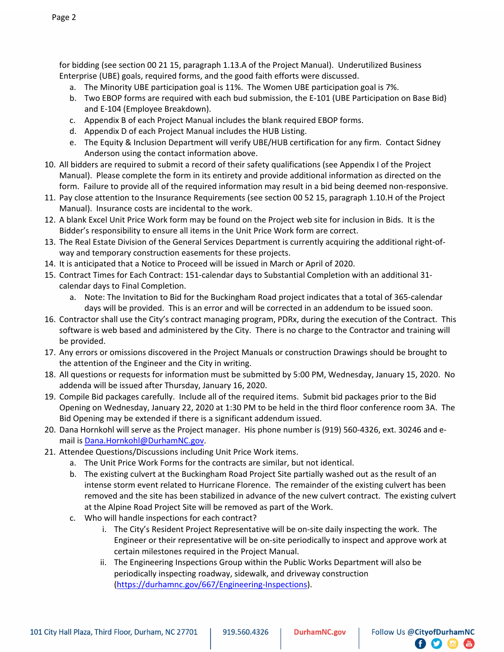for bidding (see section 00 21 15, paragraph 1.13.A of the Project Manual). Underutilized Business Enterprise (UBE) goals, required forms, and the good faith efforts were discussed.

- a. The Minority UBE participation goal is 11%. The Women UBE participation goal is 7%.
- b. Two EBOP forms are required with each bud submission, the E-101 (UBE Participation on Base Bid) and E-104 (Employee Breakdown).
- c. Appendix B of each Project Manual includes the blank required EBOP forms.
- d. Appendix D of each Project Manual includes the HUB Listing.
- e. The Equity & Inclusion Department will verify UBE/HUB certification for any firm. Contact Sidney Anderson using the contact information above.
- 10. All bidders are required to submit a record of their safety qualifications (see Appendix I of the Project Manual). Please complete the form in its entirety and provide additional information as directed on the form. Failure to provide all of the required information may result in a bid being deemed non-responsive.
- 11. Pay close attention to the Insurance Requirements (see section 00 52 15, paragraph 1.10.H of the Project Manual). Insurance costs are incidental to the work.
- 12. A blank Excel Unit Price Work form may be found on the Project web site for inclusion in Bids. It is the Bidder's responsibility to ensure all items in the Unit Price Work form are correct.
- 13. The Real Estate Division of the General Services Department is currently acquiring the additional right-ofway and temporary construction easements for these projects.
- 14. It is anticipated that a Notice to Proceed will be issued in March or April of 2020.
- 15. Contract Times for Each Contract: 151-calendar days to Substantial Completion with an additional 31 calendar days to Final Completion.
	- a. Note: The Invitation to Bid for the Buckingham Road project indicates that a total of 365-calendar days will be provided. This is an error and will be corrected in an addendum to be issued soon.
- 16. Contractor shall use the City's contract managing program, PDRx, during the execution of the Contract. This software is web based and administered by the City. There is no charge to the Contractor and training will be provided.
- 17. Any errors or omissions discovered in the Project Manuals or construction Drawings should be brought to the attention of the Engineer and the City in writing.
- 18. All questions or requests for information must be submitted by 5:00 PM, Wednesday, January 15, 2020. No addenda will be issued after Thursday, January 16, 2020.
- 19. Compile Bid packages carefully. Include all of the required items. Submit bid packages prior to the Bid Opening on Wednesday, January 22, 2020 at 1:30 PM to be held in the third floor conference room 3A. The Bid Opening may be extended if there is a significant addendum issued.
- 20. Dana Hornkohl will serve as the Project manager. His phone number is (919) 560-4326, ext. 30246 and email is [Dana.Hornkohl@DurhamNC.gov.](mailto:Dana.Hornkohl@DurhamNC.gov)
- 21. Attendee Questions/Discussions including Unit Price Work items.
	- a. The Unit Price Work Forms for the contracts are similar, but not identical.
	- b. The existing culvert at the Buckingham Road Project Site partially washed out as the result of an intense storm event related to Hurricane Florence. The remainder of the existing culvert has been removed and the site has been stabilized in advance of the new culvert contract. The existing culvert at the Alpine Road Project Site will be removed as part of the Work.
	- c. Who will handle inspections for each contract?
		- i. The City's Resident Project Representative will be on-site daily inspecting the work. The Engineer or their representative will be on-site periodically to inspect and approve work at certain milestones required in the Project Manual.

8 O

 $\frac{Y_{01}}{1000}$ 

ii. The Engineering Inspections Group within the Public Works Department will also be periodically inspecting roadway, sidewalk, and driveway construction [\(https://durhamnc.gov/667/Engineering-Inspections\)](https://durhamnc.gov/667/Engineering-Inspections).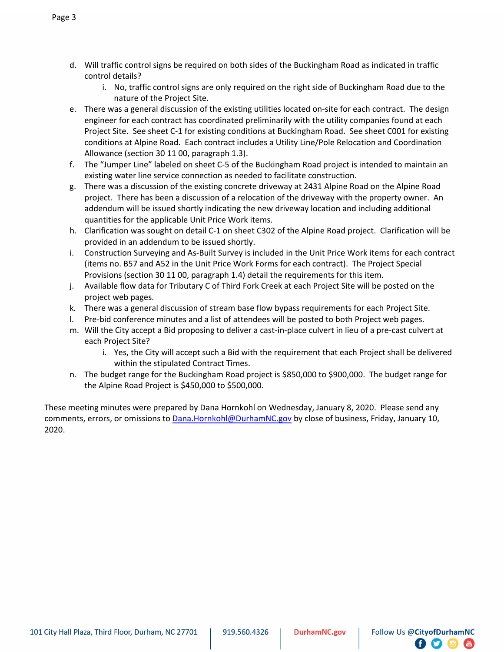- d. Will traffic control signs be required on both sides of the Buckingham Road as indicated in traffic control details?
	- i. No, traffic control signs are only required on the right side of Buckingham Road due to the nature of the Project Site.
- e. There was a general discussion of the existing utilities located on-site for each contract. The design engineer for each contract has coordinated preliminarily with the utility companies found at each Project Site. See sheet C-1 for existing conditions at Buckingham Road. See sheet C001 for existing conditions at Alpine Road. Each contract includes a Utility Line/Pole Relocation and Coordination Allowance (section 30 11 00, paragraph 1.3).
- f. The "Jumper Line" labeled on sheet C-5 of the Buckingham Road project is intended to maintain an existing water line service connection as needed to facilitate construction.
- g. There was a discussion of the existing concrete driveway at 2431 Alpine Road on the Alpine Road project. There has been a discussion of a relocation of the driveway with the property owner. An addendum will be issued shortly indicating the new driveway location and including additional quantities for the applicable Unit Price Work items.
- h. Clarification was sought on detail C-1 on sheet C302 of the Alpine Road project. Clarification will be provided in an addendum to be issued shortly.
- i. Construction Surveying and As-Built Survey is included in the Unit Price Work items for each contract (items no. B57 and A52 in the Unit Price Work Forms for each contract). The Project Special Provisions (section 30 11 00, paragraph 1.4) detail the requirements for this item.
- j. Available flow data for Tributary C of Third Fork Creek at each Project Site will be posted on the project web pages.
- k. There was a general discussion of stream base flow bypass requirements for each Project Site.
- l. Pre-bid conference minutes and a list of attendees will be posted to both Project web pages.
- m. Will the City accept a Bid proposing to deliver a cast-in-place culvert in lieu of a pre-cast culvert at each Project Site?
	- i. Yes, the City will accept such a Bid with the requirement that each Project shall be delivered within the stipulated Contract Times.
- n. The budget range for the Buckingham Road project is \$850,000 to \$900,000. The budget range for the Alpine Road Project is \$450,000 to \$500,000.

These meeting minutes were prepared by Dana Hornkohl on Wednesday, January 8, 2020. Please send any comments, errors, or omissions to [Dana.Hornkohl@DurhamNC.gov](mailto:Dana.Hornkohl@DurhamNC.gov) by close of business, Friday, January 10, 2020.

 $\Gamma$ Ð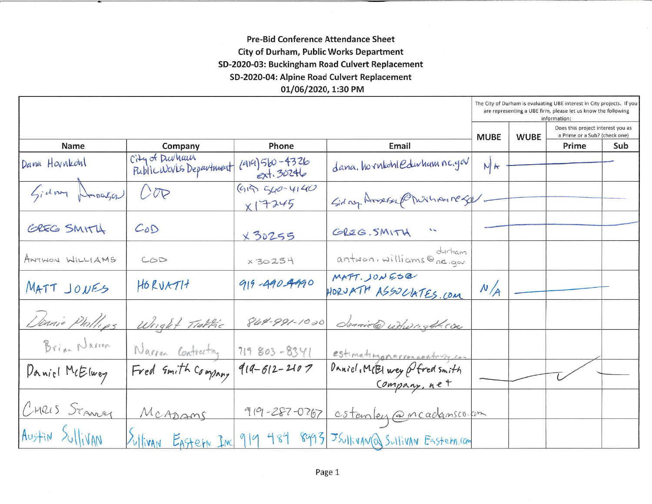## **Pre-Bid Conference Attendance Sheet City of Durham, Public Works Department** SD-2020-03: Buckingham Road Culvert Replacement SD-2020-04: Alpine Road Culvert Replacement 01/06/2020, 1:30 PM

|                 |                                           |                                |                                              | The City of Durham is evaluating UBE interest in City projects. If you<br>are representing a UBE firm, please let us know the following<br>information: |  |       |     |
|-----------------|-------------------------------------------|--------------------------------|----------------------------------------------|---------------------------------------------------------------------------------------------------------------------------------------------------------|--|-------|-----|
|                 |                                           |                                |                                              | Does this project interest you as<br>a Prime or a Sub? (check one)<br><b>MUBE</b><br><b>WUBE</b>                                                        |  |       |     |
| <b>Name</b>     | Company                                   | Phone                          | Email                                        |                                                                                                                                                         |  | Prime | Sub |
| Dana Hovnkohl   | City of Durham<br>Public Weves Department | $(419)560 - 4326$<br>ext.30246 | dana. horntohledwham nc.gov                  | NK                                                                                                                                                      |  |       |     |
| Gidney Droager  | O                                         | $(915)$ 540-4140<br>X17245     | Sidny Armer Charina respe                    |                                                                                                                                                         |  |       |     |
| GREG SMITH      | CoD                                       | x30255                         | GREG. SMITH<br>$\overline{\phantom{a}}$      |                                                                                                                                                         |  |       |     |
| ANTWON WILLIAMS | COD                                       | x 30254                        | durham<br>antwon, williams@na.gov.           |                                                                                                                                                         |  |       |     |
| MATT JONES      | HORVATH                                   | 919-490-4990                   | MATT. JONESQ<br>HORVATH ASSOLIATES.COM       | N/A                                                                                                                                                     |  |       |     |
| Dannie Phillips | Wright Trattic                            | 864-991-1020                   | donniele redungthe con                       |                                                                                                                                                         |  |       |     |
| Brian Narron    | Narron Contracting                        | 719 803-8341                   | estimatingonarronoontring con                |                                                                                                                                                         |  |       |     |
| Daniel McElwey  | Fred Smith Company                        | $914 - 612 - 2107$             | Daniel, MEI wey Ofred smith<br>Company, net  |                                                                                                                                                         |  |       |     |
| CHRIS STANLEY   | MCADAMS                                   | $919 - 287 - 0767$             | cstanley @ncadansco.com                      |                                                                                                                                                         |  |       |     |
| AUSTIN SULLIVAN | William Eastern Inc                       |                                | 919 484 8993 JSUlivan Q Sullivan Eastern.com |                                                                                                                                                         |  |       |     |